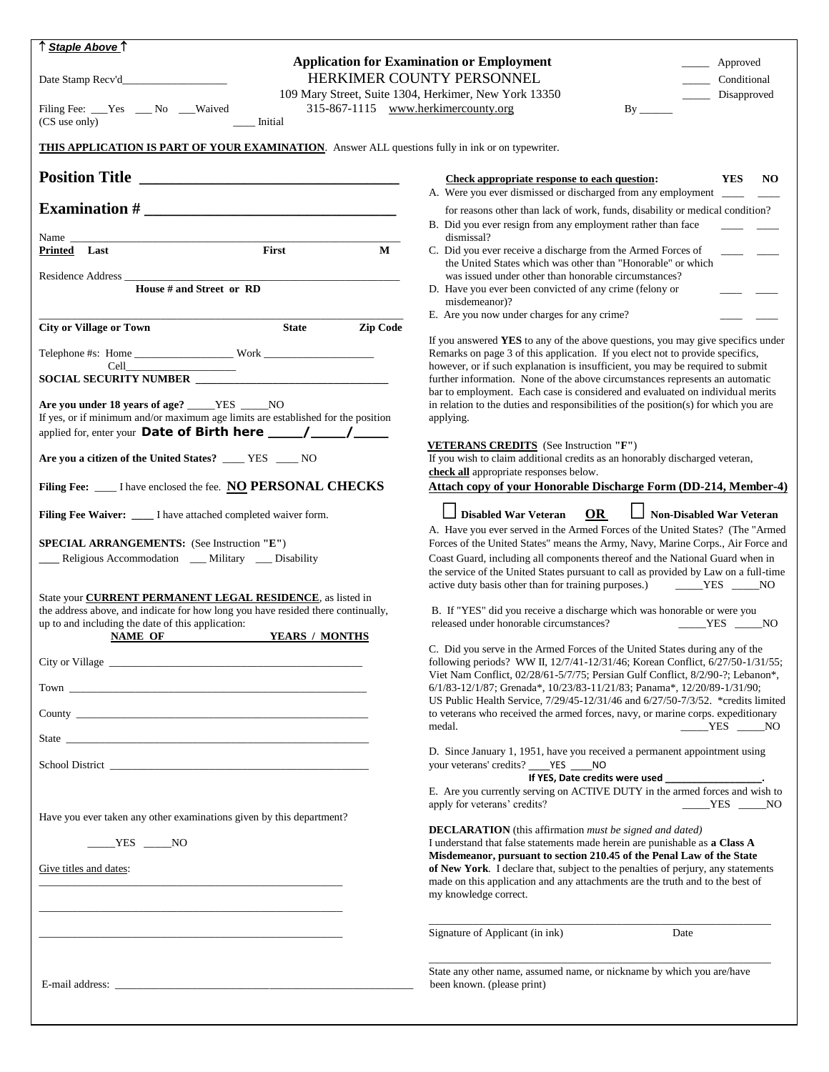| ↑ <u>Staple Above</u> ↑                                                                                                                                                                                                              |                                                                                                                                                                      |  |  |  |
|--------------------------------------------------------------------------------------------------------------------------------------------------------------------------------------------------------------------------------------|----------------------------------------------------------------------------------------------------------------------------------------------------------------------|--|--|--|
|                                                                                                                                                                                                                                      | <b>Application for Examination or Employment</b><br>_____ Approved                                                                                                   |  |  |  |
| HERKIMER COUNTY PERSONNEL<br>_______ Conditional<br>109 Mary Street, Suite 1304, Herkimer, New York 13350<br>Disapproved                                                                                                             |                                                                                                                                                                      |  |  |  |
| 315-867-1115 www.herkimercounty.org<br>Filing Fee: ___Yes ___ No ___Waived                                                                                                                                                           | $\rm{By}_{-}$                                                                                                                                                        |  |  |  |
| Initial<br>(CS use only)                                                                                                                                                                                                             |                                                                                                                                                                      |  |  |  |
| <b>THIS APPLICATION IS PART OF YOUR EXAMINATION.</b> Answer ALL questions fully in ink or on typewriter.                                                                                                                             |                                                                                                                                                                      |  |  |  |
| <b>Position Title</b>                                                                                                                                                                                                                | <b>YES</b><br><b>Check appropriate response to each question:</b><br>NO.<br>A. Were you ever dismissed or discharged from any employment ___                         |  |  |  |
|                                                                                                                                                                                                                                      | for reasons other than lack of work, funds, disability or medical condition?                                                                                         |  |  |  |
|                                                                                                                                                                                                                                      | B. Did you ever resign from any employment rather than face                                                                                                          |  |  |  |
| Name<br>First<br>Printed Last<br>$\mathbf{M}$                                                                                                                                                                                        | dismissal?<br>C. Did you ever receive a discharge from the Armed Forces of<br>the United States which was other than "Honorable" or which                            |  |  |  |
| Residence Address<br><b>House # and Street or RD</b>                                                                                                                                                                                 | was issued under other than honorable circumstances?                                                                                                                 |  |  |  |
|                                                                                                                                                                                                                                      | D. Have you ever been convicted of any crime (felony or<br>misdemeanor)?                                                                                             |  |  |  |
|                                                                                                                                                                                                                                      | E. Are you now under charges for any crime?                                                                                                                          |  |  |  |
| Zip Code<br><b>City or Village or Town</b><br><b>State</b>                                                                                                                                                                           | If you answered YES to any of the above questions, you may give specifics under                                                                                      |  |  |  |
|                                                                                                                                                                                                                                      | Remarks on page 3 of this application. If you elect not to provide specifics,<br>however, or if such explanation is insufficient, you may be required to submit      |  |  |  |
| SOCIAL SECURITY NUMBER                                                                                                                                                                                                               | further information. None of the above circumstances represents an automatic                                                                                         |  |  |  |
| Are you under 18 years of age? _____YES ____NO                                                                                                                                                                                       | bar to employment. Each case is considered and evaluated on individual merits<br>in relation to the duties and responsibilities of the position(s) for which you are |  |  |  |
| If yes, or if minimum and/or maximum age limits are established for the position                                                                                                                                                     | applying.                                                                                                                                                            |  |  |  |
|                                                                                                                                                                                                                                      | <b>VETERANS CREDITS</b> (See Instruction "F")                                                                                                                        |  |  |  |
| Are you a citizen of the United States? ____ YES ___ NO                                                                                                                                                                              | If you wish to claim additional credits as an honorably discharged veteran,<br>check all appropriate responses below.                                                |  |  |  |
| Filing Fee: ____ I have enclosed the fee. NO PERSONAL CHECKS                                                                                                                                                                         | Attach copy of your Honorable Discharge Form (DD-214, Member-4)                                                                                                      |  |  |  |
| Filing Fee Waiver: ____ I have attached completed waiver form.                                                                                                                                                                       | Non-Disabled War Veteran<br>OR<br><b>Disabled War Veteran</b>                                                                                                        |  |  |  |
|                                                                                                                                                                                                                                      | A. Have you ever served in the Armed Forces of the United States? (The "Armed                                                                                        |  |  |  |
| SPECIAL ARRANGEMENTS: (See Instruction "E")<br>__ Religious Accommodation __ Military __ Disability                                                                                                                                  | Forces of the United States" means the Army, Navy, Marine Corps., Air Force and<br>Coast Guard, including all components thereof and the National Guard when in      |  |  |  |
|                                                                                                                                                                                                                                      | the service of the United States pursuant to call as provided by Law on a full-time<br>active duty basis other than for training purposes.) _______YES _____NO       |  |  |  |
| State your <b>CURRENT PERMANENT LEGAL RESIDENCE</b> , as listed in                                                                                                                                                                   |                                                                                                                                                                      |  |  |  |
| the address above, and indicate for how long you have resided there continually,<br>up to and including the date of this application:                                                                                                | B. If "YES" did you receive a discharge which was honorable or were you<br>released under honorable circumstances?<br>$YES$ NO                                       |  |  |  |
| NAME OF <b>YEARS</b> / MONTHS                                                                                                                                                                                                        |                                                                                                                                                                      |  |  |  |
|                                                                                                                                                                                                                                      | C. Did you serve in the Armed Forces of the United States during any of the<br>following periods? WW II, 12/7/41-12/31/46; Korean Conflict, 6/27/50-1/31/55;         |  |  |  |
|                                                                                                                                                                                                                                      | Viet Nam Conflict, 02/28/61-5/7/75; Persian Gulf Conflict, 8/2/90-?; Lebanon*,                                                                                       |  |  |  |
|                                                                                                                                                                                                                                      | 6/1/83-12/1/87; Grenada*, 10/23/83-11/21/83; Panama*, 12/20/89-1/31/90;<br>US Public Health Service, 7/29/45-12/31/46 and 6/27/50-7/3/52. *credits limited           |  |  |  |
|                                                                                                                                                                                                                                      | to veterans who received the armed forces, navy, or marine corps. expeditionary                                                                                      |  |  |  |
| State has been according to the contract of the contract of the contract of the contract of the contract of the contract of the contract of the contract of the contract of the contract of the contract of the contract of th       | $YES$ NO<br>medal.                                                                                                                                                   |  |  |  |
| School District <b>Executive Contract Contract Contract Contract Contract Contract Contract Contract Contract Contract Contract Contract Contract Contract Contract Contract Contract Contract Contract Contract Contract Contra</b> | D. Since January 1, 1951, have you received a permanent appointment using<br>your veterans' credits? _____YES _____NO                                                |  |  |  |
|                                                                                                                                                                                                                                      | If YES, Date credits were used _________________.<br>E. Are you currently serving on ACTIVE DUTY in the armed forces and wish to                                     |  |  |  |
|                                                                                                                                                                                                                                      | apply for veterans' credits?<br>$YES$ NO                                                                                                                             |  |  |  |
| Have you ever taken any other examinations given by this department?                                                                                                                                                                 | <b>DECLARATION</b> (this affirmation must be signed and dated)                                                                                                       |  |  |  |
| $\rule{1em}{0.15mm}$ YES $\rule{1em}{0.15mm}$ NO                                                                                                                                                                                     | I understand that false statements made herein are punishable as a Class A                                                                                           |  |  |  |
| Give titles and dates:                                                                                                                                                                                                               | Misdemeanor, pursuant to section 210.45 of the Penal Law of the State<br>of New York. I declare that, subject to the penalties of perjury, any statements            |  |  |  |
|                                                                                                                                                                                                                                      | made on this application and any attachments are the truth and to the best of                                                                                        |  |  |  |
|                                                                                                                                                                                                                                      | my knowledge correct.                                                                                                                                                |  |  |  |
|                                                                                                                                                                                                                                      | Signature of Applicant (in ink)<br>Date                                                                                                                              |  |  |  |
|                                                                                                                                                                                                                                      |                                                                                                                                                                      |  |  |  |
|                                                                                                                                                                                                                                      | State any other name, assumed name, or nickname by which you are/have                                                                                                |  |  |  |
| E-mail address: experience of the contract of the contract of the contract of the contract of the contract of the contract of the contract of the contract of the contract of the contract of the contract of the contract of        | been known. (please print)                                                                                                                                           |  |  |  |
|                                                                                                                                                                                                                                      |                                                                                                                                                                      |  |  |  |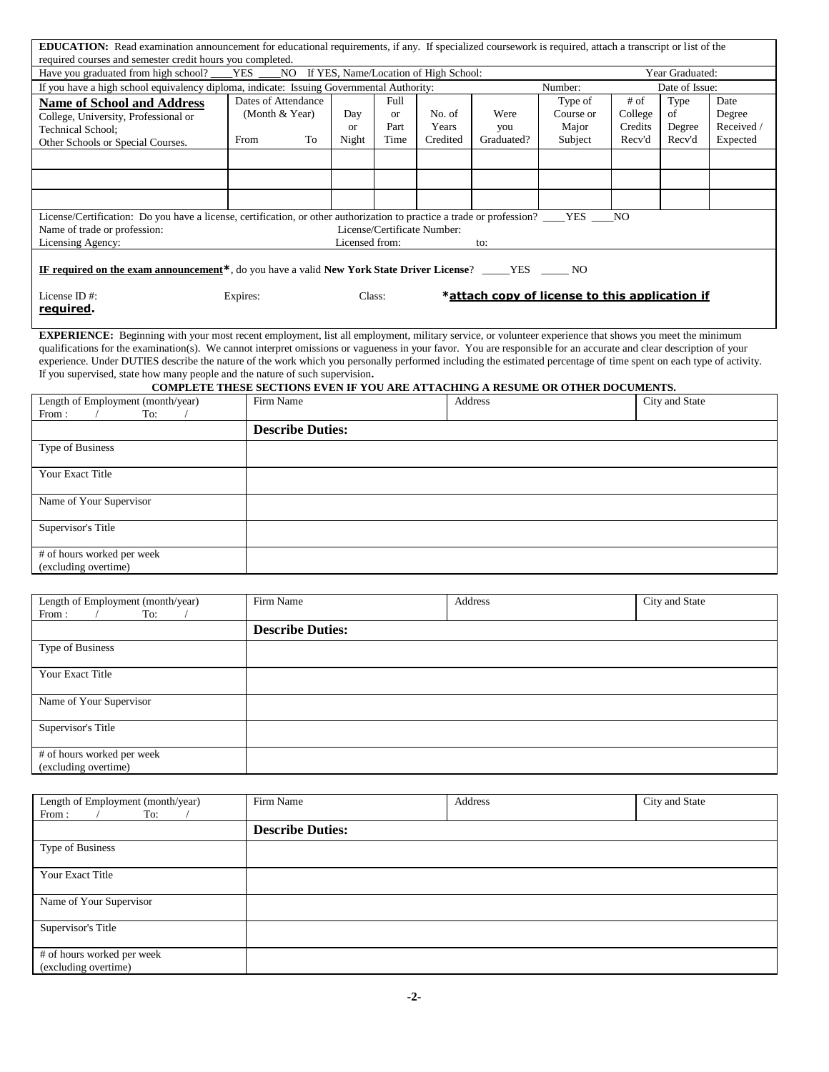| <b>EDUCATION:</b> Read examination announcement for educational requirements, if any. If specialized coursework is required, attach a transcript or list of the                   |                                                                                |                |           |                             |                                                |           |                |                |            |
|-----------------------------------------------------------------------------------------------------------------------------------------------------------------------------------|--------------------------------------------------------------------------------|----------------|-----------|-----------------------------|------------------------------------------------|-----------|----------------|----------------|------------|
| required courses and semester credit hours you completed.<br>If YES, Name/Location of High School:<br>Have you graduated from high school?<br><b>YES</b><br>NO<br>Year Graduated: |                                                                                |                |           |                             |                                                |           |                |                |            |
| If you have a high school equivalency diploma, indicate: Issuing Governmental Authority:<br>Number:<br>Date of Issue:                                                             |                                                                                |                |           |                             |                                                |           |                |                |            |
| <b>Name of School and Address</b>                                                                                                                                                 | Dates of Attendance                                                            |                | Full      |                             |                                                | Type of   | # of           | Type           | Date       |
| College, University, Professional or                                                                                                                                              | (Month & Year)                                                                 | Day            | <b>or</b> | No. of                      | Were                                           | Course or | College        | of             | Degree     |
| Technical School;                                                                                                                                                                 |                                                                                | <b>or</b>      | Part      | Years                       | you                                            | Major     | Credits        | Degree         | Received / |
| Other Schools or Special Courses.                                                                                                                                                 | From<br>To                                                                     | Night          | Time      | Credited                    | Graduated?                                     | Subject   | Recv'd         | Recv'd         | Expected   |
|                                                                                                                                                                                   |                                                                                |                |           |                             |                                                |           |                |                |            |
|                                                                                                                                                                                   |                                                                                |                |           |                             |                                                |           |                |                |            |
|                                                                                                                                                                                   |                                                                                |                |           |                             |                                                |           |                |                |            |
|                                                                                                                                                                                   |                                                                                |                |           |                             |                                                |           |                |                |            |
|                                                                                                                                                                                   |                                                                                |                |           |                             |                                                |           |                |                |            |
| License/Certification: Do you have a license, certification, or other authorization to practice a trade or profession? ____YES ___                                                |                                                                                |                |           |                             |                                                |           | N <sub>O</sub> |                |            |
| Name of trade or profession:                                                                                                                                                      |                                                                                |                |           | License/Certificate Number: |                                                |           |                |                |            |
| Licensing Agency:                                                                                                                                                                 |                                                                                | Licensed from: |           |                             | to:                                            |           |                |                |            |
|                                                                                                                                                                                   |                                                                                |                |           |                             |                                                |           |                |                |            |
| IF required on the exam announcement*, do you have a valid New York State Driver License? _____YES _____ NO                                                                       |                                                                                |                |           |                             |                                                |           |                |                |            |
| License ID#:                                                                                                                                                                      | Expires:                                                                       | Class:         |           |                             | *attach copy of license to this application if |           |                |                |            |
| required.                                                                                                                                                                         |                                                                                |                |           |                             |                                                |           |                |                |            |
|                                                                                                                                                                                   |                                                                                |                |           |                             |                                                |           |                |                |            |
| <b>EXPERIENCE:</b> Beginning with your most recent employment, list all employment, military service, or volunteer experience that shows you meet the minimum                     |                                                                                |                |           |                             |                                                |           |                |                |            |
| qualifications for the examination(s). We cannot interpret omissions or vagueness in your favor. You are responsible for an accurate and clear description of your                |                                                                                |                |           |                             |                                                |           |                |                |            |
| experience. Under DUTIES describe the nature of the work which you personally performed including the estimated percentage of time spent on each type of activity.                |                                                                                |                |           |                             |                                                |           |                |                |            |
| If you supervised, state how many people and the nature of such supervision.                                                                                                      |                                                                                |                |           |                             |                                                |           |                |                |            |
|                                                                                                                                                                                   | COMPLETE THESE SECTIONS EVEN IF YOU ARE ATTACHING A RESUME OR OTHER DOCUMENTS. |                |           |                             |                                                |           |                |                |            |
| Length of Employment (month/year)                                                                                                                                                 | Firm Name                                                                      |                |           |                             | Address                                        |           |                | City and State |            |
| From:<br>To:                                                                                                                                                                      |                                                                                |                |           |                             |                                                |           |                |                |            |
|                                                                                                                                                                                   | <b>Describe Duties:</b>                                                        |                |           |                             |                                                |           |                |                |            |
| Type of Business                                                                                                                                                                  |                                                                                |                |           |                             |                                                |           |                |                |            |
|                                                                                                                                                                                   |                                                                                |                |           |                             |                                                |           |                |                |            |
| Your Exact Title                                                                                                                                                                  |                                                                                |                |           |                             |                                                |           |                |                |            |
|                                                                                                                                                                                   |                                                                                |                |           |                             |                                                |           |                |                |            |
| Name of Your Supervisor                                                                                                                                                           |                                                                                |                |           |                             |                                                |           |                |                |            |
|                                                                                                                                                                                   |                                                                                |                |           |                             |                                                |           |                |                |            |
| Supervisor's Title                                                                                                                                                                |                                                                                |                |           |                             |                                                |           |                |                |            |
|                                                                                                                                                                                   |                                                                                |                |           |                             |                                                |           |                |                |            |
| # of hours worked per week                                                                                                                                                        |                                                                                |                |           |                             |                                                |           |                |                |            |
| (excluding overtime)                                                                                                                                                              |                                                                                |                |           |                             |                                                |           |                |                |            |
|                                                                                                                                                                                   |                                                                                |                |           |                             |                                                |           |                |                |            |
| Length of Employment (month/year)                                                                                                                                                 | Firm Name                                                                      |                |           |                             | Address                                        |           |                |                |            |
| From:<br>To:                                                                                                                                                                      |                                                                                | City and State |           |                             |                                                |           |                |                |            |
|                                                                                                                                                                                   | <b>Describe Duties:</b>                                                        |                |           |                             |                                                |           |                |                |            |
|                                                                                                                                                                                   |                                                                                |                |           |                             |                                                |           |                |                |            |
| Type of Business                                                                                                                                                                  |                                                                                |                |           |                             |                                                |           |                |                |            |
|                                                                                                                                                                                   |                                                                                |                |           |                             |                                                |           |                |                |            |
| Your Exact Title                                                                                                                                                                  |                                                                                |                |           |                             |                                                |           |                |                |            |
|                                                                                                                                                                                   |                                                                                |                |           |                             |                                                |           |                |                |            |
| Name of Your Supervisor                                                                                                                                                           |                                                                                |                |           |                             |                                                |           |                |                |            |
| Supervisor's Title                                                                                                                                                                |                                                                                |                |           |                             |                                                |           |                |                |            |
|                                                                                                                                                                                   |                                                                                |                |           |                             |                                                |           |                |                |            |
| # of hours worked per week                                                                                                                                                        |                                                                                |                |           |                             |                                                |           |                |                |            |
| (excluding overtime)                                                                                                                                                              |                                                                                |                |           |                             |                                                |           |                |                |            |
|                                                                                                                                                                                   |                                                                                |                |           |                             |                                                |           |                |                |            |
|                                                                                                                                                                                   |                                                                                |                |           |                             |                                                |           |                |                |            |
| Length of Employment (month/year)                                                                                                                                                 | Firm Name                                                                      |                |           |                             | Address                                        |           |                | City and State |            |
| From:<br>To:<br>$\prime$                                                                                                                                                          |                                                                                |                |           |                             |                                                |           |                |                |            |
|                                                                                                                                                                                   | <b>Describe Duties:</b>                                                        |                |           |                             |                                                |           |                |                |            |
| Type of Business                                                                                                                                                                  |                                                                                |                |           |                             |                                                |           |                |                |            |
|                                                                                                                                                                                   |                                                                                |                |           |                             |                                                |           |                |                |            |
| Your Exact Title                                                                                                                                                                  |                                                                                |                |           |                             |                                                |           |                |                |            |
|                                                                                                                                                                                   |                                                                                |                |           |                             |                                                |           |                |                |            |
| Name of Your Supervisor                                                                                                                                                           |                                                                                |                |           |                             |                                                |           |                |                |            |
|                                                                                                                                                                                   |                                                                                |                |           |                             |                                                |           |                |                |            |
| Supervisor's Title                                                                                                                                                                |                                                                                |                |           |                             |                                                |           |                |                |            |
| # of hours worked per week                                                                                                                                                        |                                                                                |                |           |                             |                                                |           |                |                |            |
|                                                                                                                                                                                   |                                                                                |                |           |                             |                                                |           |                |                |            |

(excluding overtime)